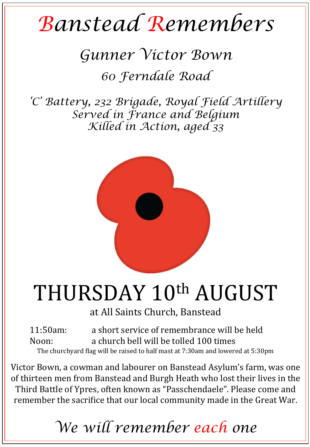# *Banstead Remembers*

### *Gunner Victor Bown*

### *60 Ferndale Road*

*'C' Battery, 232 Brigade, Royal Field Artillery Served in France and Belgium Killed in Action, aged 33* 



## THURSDAY 10<sup>th</sup> AUGUST

at All Saints Church, Banstead

11:50am: a short service of remembrance will be held Noon: a church bell will be tolled 100 times The churchyard flag will be raised to half mast at 7:30am and lowered at 5:30pm

Victor Bown, a cowman and labourer on Banstead Asylum's farm, was one of thirteen men from Banstead and Burgh Heath who lost their lives in the Third Battle of Ypres, often known as "Passchendaele". Please come and remember the sacrifice that our local community made in the Great War.

*We will remember each one*